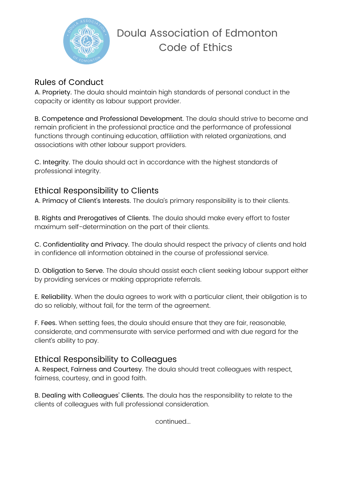

# Doula Association of Edmonton Code of Ethics

#### Rules of Conduct

A. Propriety. The doula should maintain high standards of personal conduct in the capacity or identity as labour support provider.

B. Competence and Professional Development. The doula should strive to become and remain proficient in the professional practice and the performance of professional functions through continuing education, affiliation with related organizations, and associations with other labour support providers.

C. Integrity. The doula should act in accordance with the highest standards of professional integrity.

## Ethical Responsibility to Clients

A. Primacy of Client's Interests. The doula's primary responsibility is to their clients.

B. Rights and Prerogatives of Clients. The doula should make every effort to foster maximum self-determination on the part of their clients.

C. Confidentiality and Privacy. The doula should respect the privacy of clients and hold in confidence all information obtained in the course of professional service.

D. Obligation to Serve. The doula should assist each client seeking labour support either by providing services or making appropriate referrals.

E. Reliability. When the doula agrees to work with a particular client, their obligation is to do so reliably, without fail, for the term of the agreement.

F. Fees. When setting fees, the doula should ensure that they are fair, reasonable, considerate, and commensurate with service performed and with due regard for the client's ability to pay.

## Ethical Responsibility to Colleagues

A. Respect, Fairness and Courtesy. The doula should treat colleagues with respect, fairness, courtesy, and in good faith.

B. Dealing with Colleagues' Clients. The doula has the responsibility to relate to the clients of colleagues with full professional consideration.

continued...